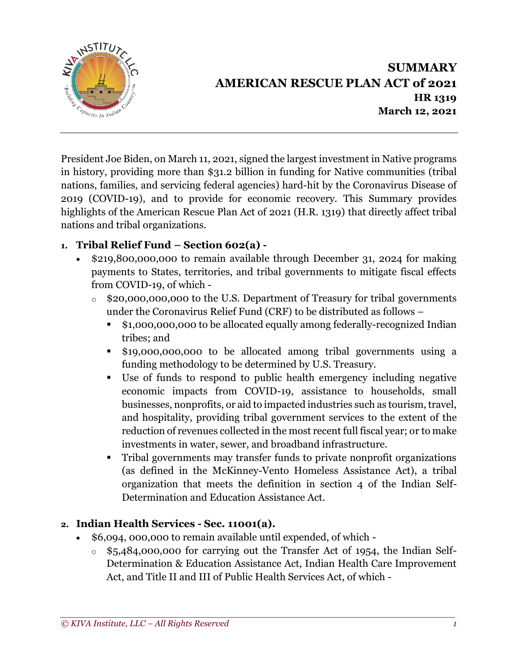

# **SUMMARY AMERICAN RESCUE PLAN ACT of 2021 HR 1319 March 12, 2021**

President Joe Biden, on March 11, 2021, signed the largest investment in Native programs in history, providing more than \$31.2 billion in funding for Native communities (tribal nations, families, and servicing federal agencies) hard-hit by the Coronavirus Disease of 2019 (COVID-19), and to provide for economic recovery. This Summary provides highlights of the American Rescue Plan Act of 2021 (H.R. 1319) that directly affect tribal nations and tribal organizations.

### **1. Tribal Relief Fund – Section 602(a) -**

- \$219,800,000,000 to remain available through December 31, 2024 for making payments to States, territories, and tribal governments to mitigate fiscal effects from COVID-19, of which
	- o \$20,000,000,000 to the U.S. Department of Treasury for tribal governments under the Coronavirus Relief Fund (CRF) to be distributed as follows –
		- \$1,000,000,000 to be allocated equally among federally-recognized Indian tribes; and
		- \$19,000,000,000 to be allocated among tribal governments using a funding methodology to be determined by U.S. Treasury.
		- Use of funds to respond to public health emergency including negative economic impacts from COVID-19, assistance to households, small businesses, nonprofits, or aid to impacted industries such as tourism, travel, and hospitality, providing tribal government services to the extent of the reduction of revenues collected in the most recent full fiscal year; or to make investments in water, sewer, and broadband infrastructure.
		- Tribal governments may transfer funds to private nonprofit organizations (as defined in the McKinney-Vento Homeless Assistance Act), a tribal organization that meets the definition in section 4 of the Indian Self-Determination and Education Assistance Act.

#### **2. Indian Health Services - Sec. 11001(a).**

- \$6,094, 000,000 to remain available until expended, of which
	- $\circ$  \$5,484,000,000 for carrying out the Transfer Act of 1954, the Indian Self-Determination & Education Assistance Act, Indian Health Care Improvement Act, and Title II and III of Public Health Services Act, of which -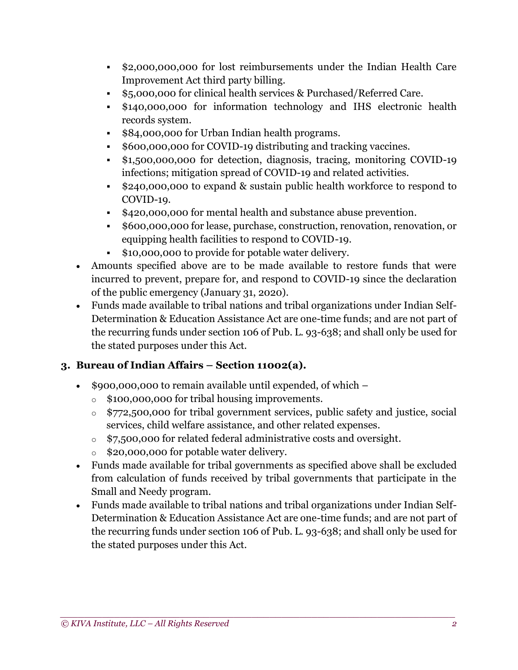- \$2,000,000,000 for lost reimbursements under the Indian Health Care Improvement Act third party billing.
- \$5,000,000 for clinical health services & Purchased/Referred Care.
- \$140,000,000 for information technology and IHS electronic health records system.
- \$84,000,000 for Urban Indian health programs.
- \$600,000,000 for COVID-19 distributing and tracking vaccines.
- \$1,500,000,000 for detection, diagnosis, tracing, monitoring COVID-19 infections; mitigation spread of COVID-19 and related activities.
- \$240,000,000 to expand & sustain public health workforce to respond to COVID-19.
- \$420,000,000 for mental health and substance abuse prevention.
- \$600,000,000 for lease, purchase, construction, renovation, renovation, or equipping health facilities to respond to COVID-19.
- \$10,000,000 to provide for potable water delivery.
- Amounts specified above are to be made available to restore funds that were incurred to prevent, prepare for, and respond to COVID-19 since the declaration of the public emergency (January 31, 2020).
- Funds made available to tribal nations and tribal organizations under Indian Self-Determination & Education Assistance Act are one-time funds; and are not part of the recurring funds under section 106 of Pub. L. 93-638; and shall only be used for the stated purposes under this Act.

### **3. Bureau of Indian Affairs – Section 11002(a).**

- \$900,000,000 to remain available until expended, of which
	- o \$100,000,000 for tribal housing improvements.
	- o \$772,500,000 for tribal government services, public safety and justice, social services, child welfare assistance, and other related expenses.
	- o \$7,500,000 for related federal administrative costs and oversight.
	- o \$20,000,000 for potable water delivery.
- Funds made available for tribal governments as specified above shall be excluded from calculation of funds received by tribal governments that participate in the Small and Needy program.
- Funds made available to tribal nations and tribal organizations under Indian Self-Determination & Education Assistance Act are one-time funds; and are not part of the recurring funds under section 106 of Pub. L. 93-638; and shall only be used for the stated purposes under this Act.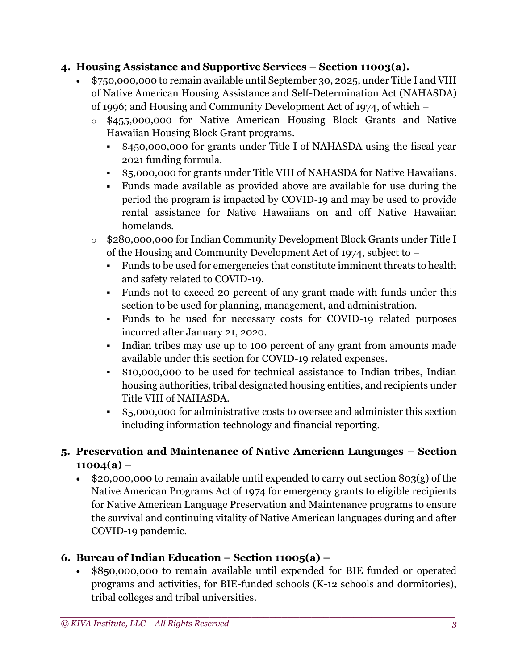#### **4. Housing Assistance and Supportive Services – Section 11003(a).**

- \$750,000,000 to remain available until September 30, 2025, under Title I and VIII of Native American Housing Assistance and Self-Determination Act (NAHASDA) of 1996; and Housing and Community Development Act of 1974, of which –
	- o \$455,000,000 for Native American Housing Block Grants and Native Hawaiian Housing Block Grant programs.
		- \$450,000,000 for grants under Title I of NAHASDA using the fiscal year 2021 funding formula.
		- \$5,000,000 for grants under Title VIII of NAHASDA for Native Hawaiians.
		- Funds made available as provided above are available for use during the period the program is impacted by COVID-19 and may be used to provide rental assistance for Native Hawaiians on and off Native Hawaiian homelands.
	- o \$280,000,000 for Indian Community Development Block Grants under Title I of the Housing and Community Development Act of 1974, subject to –
		- Funds to be used for emergencies that constitute imminent threats to health and safety related to COVID-19.
		- Funds not to exceed 20 percent of any grant made with funds under this section to be used for planning, management, and administration.
		- Funds to be used for necessary costs for COVID-19 related purposes incurred after January 21, 2020.
		- Indian tribes may use up to 100 percent of any grant from amounts made available under this section for COVID-19 related expenses.
		- \$10,000,000 to be used for technical assistance to Indian tribes, Indian housing authorities, tribal designated housing entities, and recipients under Title VIII of NAHASDA.
		- \$5,000,000 for administrative costs to oversee and administer this section including information technology and financial reporting.

## **5. Preservation and Maintenance of Native American Languages – Section 11004(a) –**

• \$20,000,000 to remain available until expended to carry out section 803(g) of the Native American Programs Act of 1974 for emergency grants to eligible recipients for Native American Language Preservation and Maintenance programs to ensure the survival and continuing vitality of Native American languages during and after COVID-19 pandemic.

## **6. Bureau of Indian Education – Section 11005(a) –**

• \$850,000,000 to remain available until expended for BIE funded or operated programs and activities, for BIE-funded schools (K-12 schools and dormitories), tribal colleges and tribal universities.